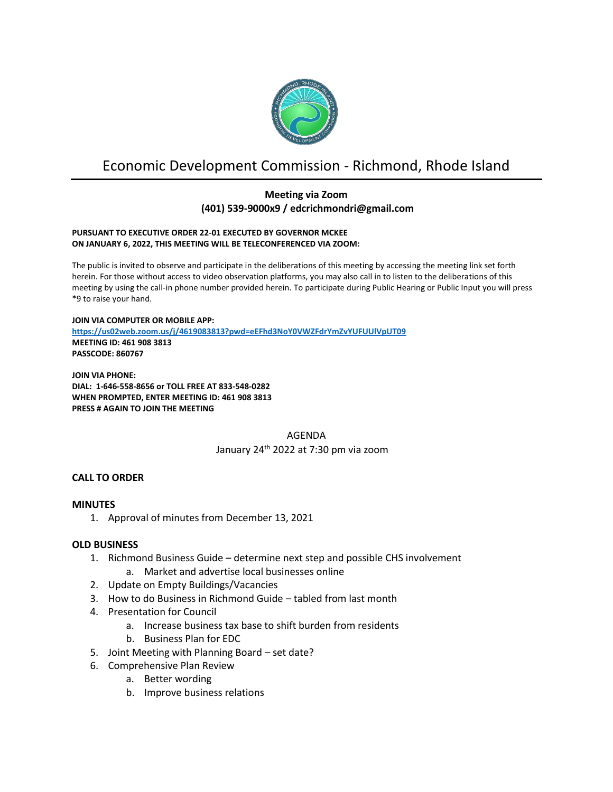

# Economic Development Commission - Richmond, Rhode Island

# **Meeting via Zoom (401) 539-9000x9 / edcrichmondri@gmail.com**

#### **PURSUANT TO EXECUTIVE ORDER 22-01 EXECUTED BY GOVERNOR MCKEE ON JANUARY 6, 2022, THIS MEETING WILL BE TELECONFERENCED VIA ZOOM:**

The public is invited to observe and participate in the deliberations of this meeting by accessing the meeting link set forth herein. For those without access to video observation platforms, you may also call in to listen to the deliberations of this meeting by using the call-in phone number provided herein. To participate during Public Hearing or Public Input you will press \*9 to raise your hand.

**JOIN VIA COMPUTER OR MOBILE APP: <https://us02web.zoom.us/j/4619083813?pwd=eEFhd3NoY0VWZFdrYmZvYUFUUlVpUT09> MEETING ID: 461 908 3813 PASSCODE: 860767**

**JOIN VIA PHONE: DIAL: 1-646-558-8656 or TOLL FREE AT 833-548-0282 WHEN PROMPTED, ENTER MEETING ID: 461 908 3813 PRESS # AGAIN TO JOIN THE MEETING**

> AGENDA January 24 th 2022 at 7:30 pm via zoom

# **CALL TO ORDER**

# **MINUTES**

1. Approval of minutes from December 13, 2021

# **OLD BUSINESS**

- 1. Richmond Business Guide determine next step and possible CHS involvement
	- a. Market and advertise local businesses online
- 2. Update on Empty Buildings/Vacancies
- 3. How to do Business in Richmond Guide tabled from last month
- 4. Presentation for Council
	- a. Increase business tax base to shift burden from residents
	- b. Business Plan for EDC
- 5. Joint Meeting with Planning Board set date?
- 6. Comprehensive Plan Review
	- a. Better wording
	- b. Improve business relations